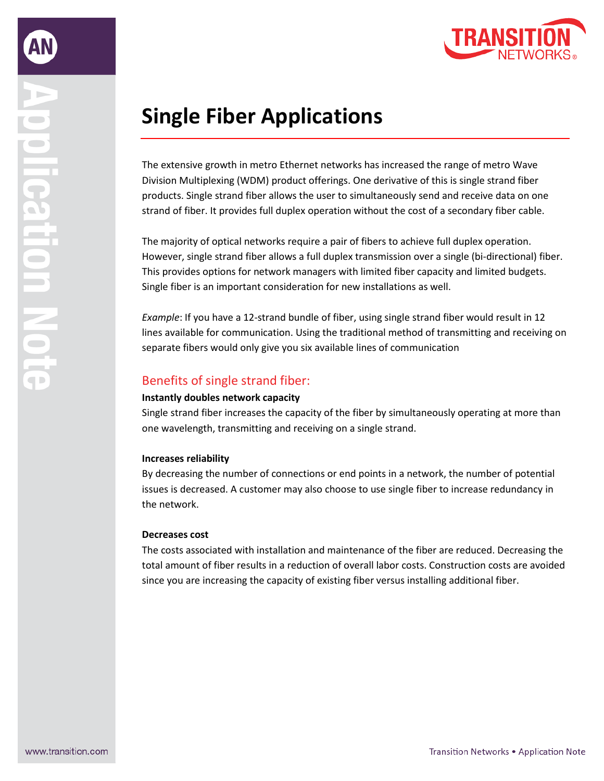

# **Single Fiber Applications**

The extensive growth in metro Ethernet networks has increased the range of metro Wave Division Multiplexing (WDM) product offerings. One derivative of this is single strand fiber products. Single strand fiber allows the user to simultaneously send and receive data on one strand of fiber. It provides full duplex operation without the cost of a secondary fiber cable.

The majority of optical networks require a pair of fibers to achieve full duplex operation. However, single strand fiber allows a full duplex transmission over a single (bi-directional) fiber. This provides options for network managers with limited fiber capacity and limited budgets. Single fiber is an important consideration for new installations as well.

*Example*: If you have a 12-strand bundle of fiber, using single strand fiber would result in 12 lines available for communication. Using the traditional method of transmitting and receiving on separate fibers would only give you six available lines of communication

### Benefits of single strand fiber:

#### **Instantly doubles network capacity**

Single strand fiber increases the capacity of the fiber by simultaneously operating at more than one wavelength, transmitting and receiving on a single strand.

#### **Increases reliability**

By decreasing the number of connections or end points in a network, the number of potential issues is decreased. A customer may also choose to use single fiber to increase redundancy in the network.

#### **Decreases cost**

The costs associated with installation and maintenance of the fiber are reduced. Decreasing the total amount of fiber results in a reduction of overall labor costs. Construction costs are avoided since you are increasing the capacity of existing fiber versus installing additional fiber.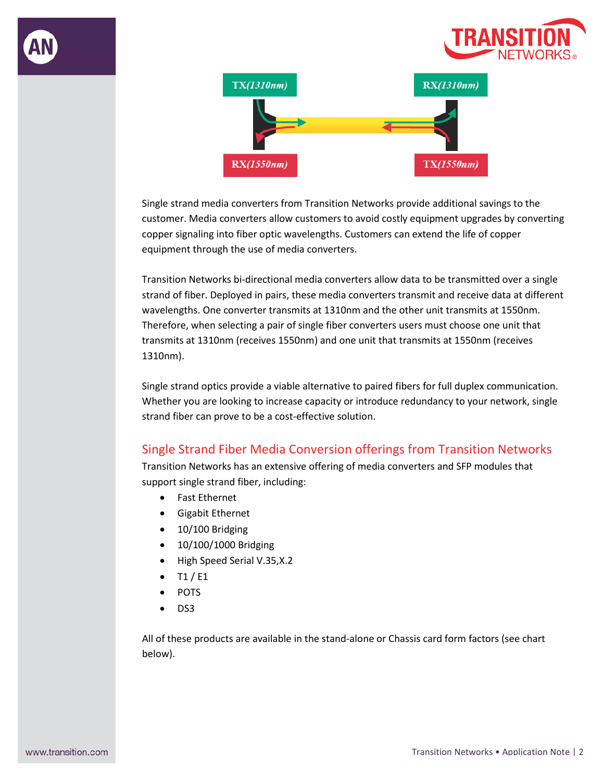



Single strand media converters from Transition Networks provide additional savings to the customer. Media converters allow customers to avoid costly equipment upgrades by converting copper signaling into fiber optic wavelengths. Customers can extend the life of copper equipment through the use of media converters.

Transition Networks bi-directional media converters allow data to be transmitted over a single strand of fiber. Deployed in pairs, these media converters transmit and receive data at different wavelengths. One converter transmits at 1310nm and the other unit transmits at 1550nm. Therefore, when selecting a pair of single fiber converters users must choose one unit that transmits at 1310nm (receives 1550nm) and one unit that transmits at 1550nm (receives 1310nm).

Single strand optics provide a viable alternative to paired fibers for full duplex communication. Whether you are looking to increase capacity or introduce redundancy to your network, single strand fiber can prove to be a cost-effective solution.

## Single Strand Fiber Media Conversion offerings from Transition Networks

Transition Networks has an extensive offering of media converters and SFP modules that support single strand fiber, including:

- Fast Ethernet
- Gigabit Ethernet
- 10/100 Bridging
- 10/100/1000 Bridging
- High Speed Serial V.35,X.2
- $\bullet$  T1/E1
- POTS
- DS3

All of these products are available in the stand-alone or Chassis card form factors (see chart below).